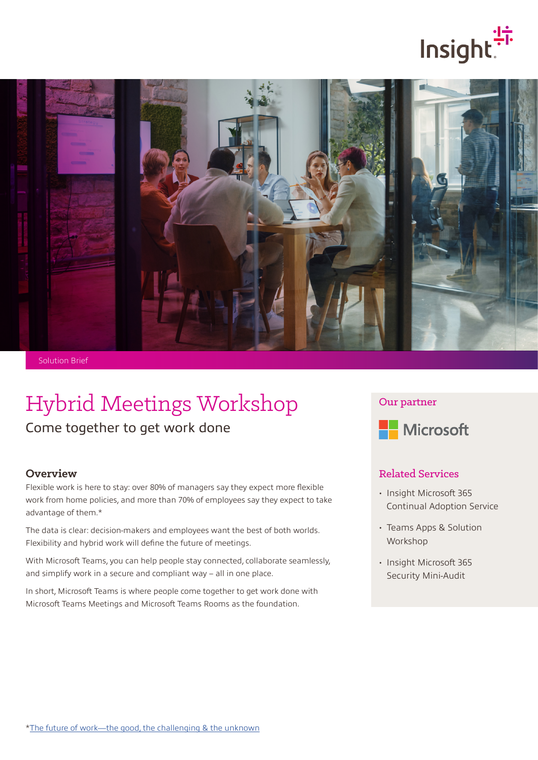



Solution Brief

# Hybrid Meetings Workshop

Come together to get work done

## **Overview**

Flexible work is here to stay: over 80% of managers say they expect more flexible work from home policies, and more than 70% of employees say they expect to take advantage of them.\*

The data is clear: decision-makers and employees want the best of both worlds. Flexibility and hybrid work will define the future of meetings.

With Microsoft Teams, you can help people stay connected, collaborate seamlessly, and simplify work in a secure and compliant way – all in one place.

In short, Microsoft Teams is where people come together to get work done with Microsoft Teams Meetings and Microsoft Teams Rooms as the foundation.

#### Our partner



## Related Services

- Insight Microsoft 365 Continual Adoption Service
- Teams Apps & Solution Workshop
- Insight Microsoft 365 Security Mini-Audit